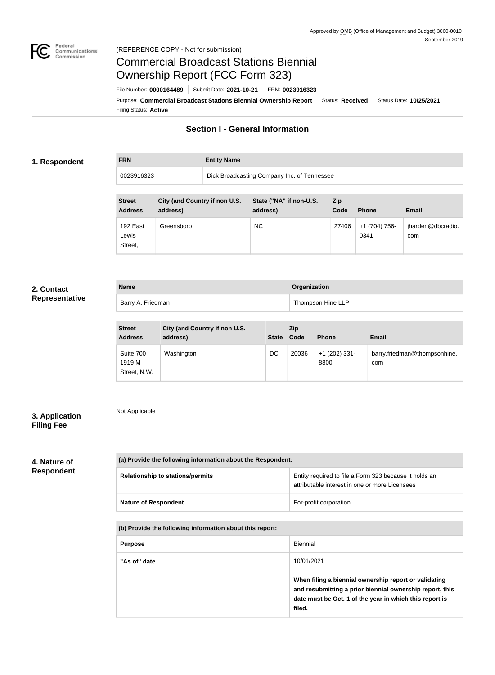

#### Federal<br>Communications<br>Commission (REFERENCE COPY - Not for submission)

## Commercial Broadcast Stations Biennial Ownership Report (FCC Form 323)

Filing Status: **Active** Purpose: Commercial Broadcast Stations Biennial Ownership Report Status: Received Status Date: 10/25/2021 File Number: **0000164489** Submit Date: **2021-10-21** FRN: **0023916323**

### **Section I - General Information**

#### **1. Respondent**

# **FRN Entity Name**

0023916323 Dick Broadcasting Company Inc. of Tennessee

| <b>Street</b><br><b>Address</b> | City (and Country if non U.S.<br>address) | State ("NA" if non-U.S.<br>address) | <b>Zip</b><br>Code | <b>Phone</b>          | Email                    |
|---------------------------------|-------------------------------------------|-------------------------------------|--------------------|-----------------------|--------------------------|
| 192 East<br>Lewis<br>Street,    | Greensboro                                | <b>NC</b>                           | 27406              | +1 (704) 756-<br>0341 | jharden@dbcradio.<br>com |

#### **2. Contact Representative**

| <b>Name</b>       | Organization      |
|-------------------|-------------------|
| Barry A. Friedman | Thompson Hine LLP |

| <b>Street</b><br><b>Address</b>     | City (and Country if non U.S.<br>address) | State Code | <b>Zip</b> | <b>Phone</b>            | Email                               |
|-------------------------------------|-------------------------------------------|------------|------------|-------------------------|-------------------------------------|
| Suite 700<br>1919 M<br>Street, N.W. | Washington                                | DC         | 20036      | $+1$ (202) 331-<br>8800 | barry.friedman@thompsonhine.<br>com |

#### **3. Application Filing Fee**

Not Applicable

## **4. Nature of Respondent**

| (a) Provide the following information about the Respondent: |                                                                                                          |
|-------------------------------------------------------------|----------------------------------------------------------------------------------------------------------|
| <b>Relationship to stations/permits</b>                     | Entity required to file a Form 323 because it holds an<br>attributable interest in one or more Licensees |
| <b>Nature of Respondent</b>                                 | For-profit corporation                                                                                   |

**(b) Provide the following information about this report:**

| <b>Purpose</b> | Biennial                                                                                                                                                                               |
|----------------|----------------------------------------------------------------------------------------------------------------------------------------------------------------------------------------|
| "As of" date   | 10/01/2021                                                                                                                                                                             |
|                | When filing a biennial ownership report or validating<br>and resubmitting a prior biennial ownership report, this<br>date must be Oct. 1 of the year in which this report is<br>filed. |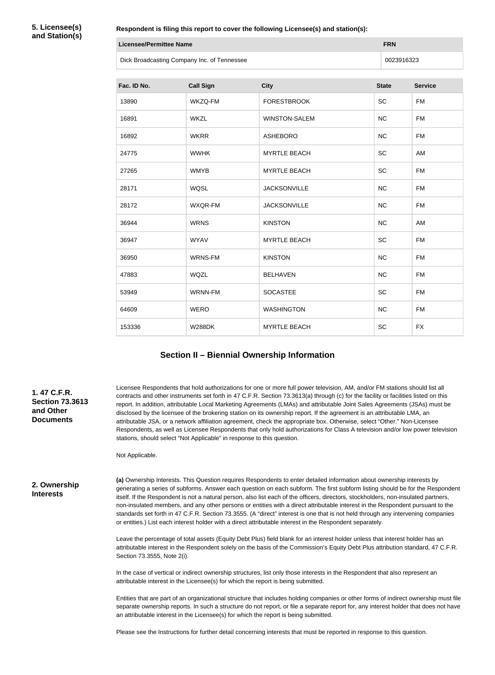**5. Licensee(s) and Station(s)**

**Respondent is filing this report to cover the following Licensee(s) and station(s):**

| Respondent is filling this report to cover the following Licensee(s) and station(s): |                                |                     |              |                |  |
|--------------------------------------------------------------------------------------|--------------------------------|---------------------|--------------|----------------|--|
|                                                                                      | <b>Licensee/Permittee Name</b> |                     |              |                |  |
| Dick Broadcasting Company Inc. of Tennessee                                          |                                |                     | 0023916323   |                |  |
| Fac. ID No.                                                                          | <b>Call Sign</b>               | <b>City</b>         | <b>State</b> | <b>Service</b> |  |
| 13890                                                                                | WKZQ-FM                        | <b>FORESTBROOK</b>  | <b>SC</b>    | <b>FM</b>      |  |
| 16891                                                                                | <b>WKZL</b>                    | WINSTON-SALEM       | NC.          | FM             |  |
| 16892                                                                                | <b>WKRR</b>                    | <b>ASHEBORO</b>     | NC.          | FM             |  |
| 24775                                                                                | <b>WWHK</b>                    | <b>MYRTLE BEACH</b> | <b>SC</b>    | AM             |  |

27265 WMYB MYRTLE BEACH SC FM

28171 WQSL JACKSONVILLE NC FM

28172 WXQR-FM JACKSONVILLE NC FM

36944 WRNS KINSTON NC AM

36947 WYAV MYRTLE BEACH SC FM

36950 WRNS-FM KINSTON NC FM

47883 WQZL BELHAVEN NC FM

53949 WRNN-FM SOCASTEE SC FM

64609 WERO WASHINGTON NC FM

153336 W288DK MYRTLE BEACH SC FX

| <b>Section II - Biennial Ownership Information</b> |  |  |
|----------------------------------------------------|--|--|
|----------------------------------------------------|--|--|

Licensee Respondents that hold authorizations for one or more full power television, AM, and/or FM stations should list all contracts and other instruments set forth in 47 C.F.R. Section 73.3613(a) through (c) for the facility or facilities listed on this report. In addition, attributable Local Marketing Agreements (LMAs) and attributable Joint Sales Agreements (JSAs) must be disclosed by the licensee of the brokering station on its ownership report. If the agreement is an attributable LMA, an attributable JSA, or a network affiliation agreement, check the appropriate box. Otherwise, select "Other." Non-Licensee Respondents, as well as Licensee Respondents that only hold authorizations for Class A television and/or low power television stations, should select "Not Applicable" in response to this question.

Not Applicable.

**2. Ownership Interests**

**1. 47 C.F.R. Section 73.3613** 

**and Other Documents**

> **(a)** Ownership Interests. This Question requires Respondents to enter detailed information about ownership interests by generating a series of subforms. Answer each question on each subform. The first subform listing should be for the Respondent itself. If the Respondent is not a natural person, also list each of the officers, directors, stockholders, non-insulated partners, non-insulated members, and any other persons or entities with a direct attributable interest in the Respondent pursuant to the standards set forth in 47 C.F.R. Section 73.3555. (A "direct" interest is one that is not held through any intervening companies or entities.) List each interest holder with a direct attributable interest in the Respondent separately.

> Leave the percentage of total assets (Equity Debt Plus) field blank for an interest holder unless that interest holder has an attributable interest in the Respondent solely on the basis of the Commission's Equity Debt Plus attribution standard, 47 C.F.R. Section 73.3555, Note 2(i).

In the case of vertical or indirect ownership structures, list only those interests in the Respondent that also represent an attributable interest in the Licensee(s) for which the report is being submitted.

Entities that are part of an organizational structure that includes holding companies or other forms of indirect ownership must file separate ownership reports. In such a structure do not report, or file a separate report for, any interest holder that does not have an attributable interest in the Licensee(s) for which the report is being submitted.

Please see the Instructions for further detail concerning interests that must be reported in response to this question.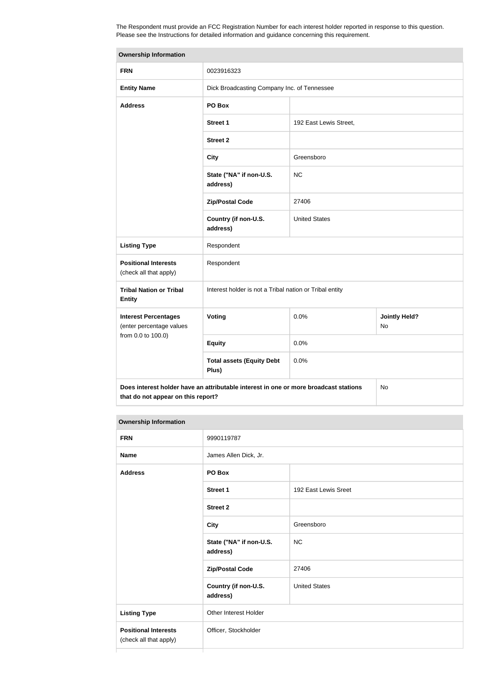The Respondent must provide an FCC Registration Number for each interest holder reported in response to this question. Please see the Instructions for detailed information and guidance concerning this requirement.

| <b>Ownership Information</b>                            |                                                                                      |                        |                            |
|---------------------------------------------------------|--------------------------------------------------------------------------------------|------------------------|----------------------------|
| <b>FRN</b>                                              | 0023916323                                                                           |                        |                            |
| <b>Entity Name</b>                                      | Dick Broadcasting Company Inc. of Tennessee                                          |                        |                            |
| <b>Address</b>                                          | PO Box                                                                               |                        |                            |
|                                                         | Street 1                                                                             | 192 East Lewis Street, |                            |
|                                                         | <b>Street 2</b>                                                                      |                        |                            |
|                                                         | <b>City</b>                                                                          | Greensboro             |                            |
|                                                         | State ("NA" if non-U.S.<br>address)                                                  | <b>NC</b>              |                            |
|                                                         | <b>Zip/Postal Code</b>                                                               | 27406                  |                            |
|                                                         | Country (if non-U.S.<br>address)                                                     | <b>United States</b>   |                            |
| <b>Listing Type</b>                                     | Respondent                                                                           |                        |                            |
| <b>Positional Interests</b><br>(check all that apply)   | Respondent                                                                           |                        |                            |
| <b>Tribal Nation or Tribal</b><br><b>Entity</b>         | Interest holder is not a Tribal nation or Tribal entity                              |                        |                            |
| <b>Interest Percentages</b><br>(enter percentage values | Voting                                                                               | 0.0%                   | <b>Jointly Held?</b><br>No |
| from 0.0 to 100.0)                                      | <b>Equity</b>                                                                        | 0.0%                   |                            |
|                                                         | <b>Total assets (Equity Debt</b><br>Plus)                                            | 0.0%                   |                            |
| that do not appear on this report?                      | Does interest holder have an attributable interest in one or more broadcast stations |                        | No                         |

| <b>FRN</b>                                            | 9990119787                          |                      |
|-------------------------------------------------------|-------------------------------------|----------------------|
| <b>Name</b>                                           | James Allen Dick, Jr.               |                      |
| <b>Address</b>                                        | PO Box                              |                      |
|                                                       | <b>Street 1</b>                     | 192 East Lewis Sreet |
|                                                       | <b>Street 2</b>                     |                      |
|                                                       | <b>City</b>                         | Greensboro           |
|                                                       | State ("NA" if non-U.S.<br>address) | <b>NC</b>            |
|                                                       | <b>Zip/Postal Code</b>              | 27406                |
|                                                       | Country (if non-U.S.<br>address)    | <b>United States</b> |
| <b>Listing Type</b>                                   | Other Interest Holder               |                      |
| <b>Positional Interests</b><br>(check all that apply) | Officer, Stockholder                |                      |
|                                                       |                                     |                      |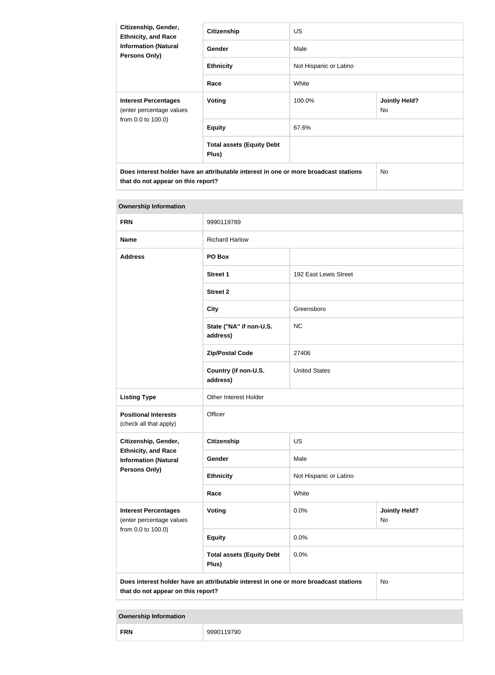| Citizenship, Gender,<br><b>Ethnicity, and Race</b>                                                                         | <b>Citizenship</b>                        | <b>US</b>              |                             |  |
|----------------------------------------------------------------------------------------------------------------------------|-------------------------------------------|------------------------|-----------------------------|--|
| <b>Information (Natural</b><br>Persons Only)                                                                               | Gender                                    | Male                   |                             |  |
|                                                                                                                            | <b>Ethnicity</b>                          | Not Hispanic or Latino |                             |  |
|                                                                                                                            | Race                                      | White                  |                             |  |
| <b>Interest Percentages</b><br>(enter percentage values                                                                    | Voting                                    | 100.0%                 | <b>Jointly Held?</b><br>No. |  |
| from 0.0 to 100.0)                                                                                                         | <b>Equity</b>                             | 67.6%                  |                             |  |
|                                                                                                                            | <b>Total assets (Equity Debt</b><br>Plus) |                        |                             |  |
| Does interest holder have an attributable interest in one or more broadcast stations<br>that do not appear on this report? |                                           |                        | No                          |  |

| <b>Ownership Information</b>                              |                                                                                      |                        |                                   |  |
|-----------------------------------------------------------|--------------------------------------------------------------------------------------|------------------------|-----------------------------------|--|
| <b>FRN</b>                                                | 9990119789                                                                           |                        |                                   |  |
| <b>Name</b>                                               | <b>Richard Harlow</b>                                                                |                        |                                   |  |
| <b>Address</b>                                            | PO Box                                                                               |                        |                                   |  |
|                                                           | <b>Street 1</b>                                                                      | 192 East Lewis Street  |                                   |  |
|                                                           | <b>Street 2</b>                                                                      |                        |                                   |  |
|                                                           | <b>City</b>                                                                          | Greensboro             |                                   |  |
|                                                           | State ("NA" if non-U.S.<br>address)                                                  | <b>NC</b>              |                                   |  |
|                                                           | <b>Zip/Postal Code</b>                                                               | 27406                  |                                   |  |
|                                                           | Country (if non-U.S.<br>address)                                                     | <b>United States</b>   |                                   |  |
| <b>Listing Type</b>                                       | Other Interest Holder                                                                |                        |                                   |  |
| <b>Positional Interests</b><br>(check all that apply)     | Officer                                                                              |                        |                                   |  |
| Citizenship, Gender,                                      | <b>Citizenship</b>                                                                   | <b>US</b>              |                                   |  |
| <b>Ethnicity, and Race</b><br><b>Information (Natural</b> | Gender                                                                               | Male                   |                                   |  |
| Persons Only)                                             | <b>Ethnicity</b>                                                                     | Not Hispanic or Latino |                                   |  |
|                                                           | Race                                                                                 | White                  |                                   |  |
| <b>Interest Percentages</b><br>(enter percentage values   | <b>Voting</b>                                                                        | 0.0%                   | <b>Jointly Held?</b><br><b>No</b> |  |
| from 0.0 to 100.0)                                        | <b>Equity</b>                                                                        | 0.0%                   |                                   |  |
|                                                           | <b>Total assets (Equity Debt</b><br>Plus)                                            | 0.0%                   |                                   |  |
| that do not appear on this report?                        | Does interest holder have an attributable interest in one or more broadcast stations |                        | No                                |  |

| <b>FRN</b> | -90 |
|------------|-----|
|------------|-----|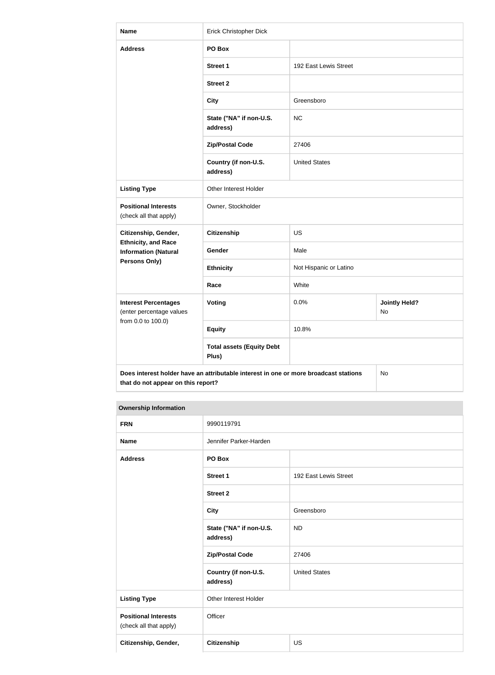| <b>Name</b>                                               | Erick Christopher Dick                                                               |                        |                            |  |
|-----------------------------------------------------------|--------------------------------------------------------------------------------------|------------------------|----------------------------|--|
| <b>Address</b>                                            | PO Box                                                                               |                        |                            |  |
|                                                           | <b>Street 1</b>                                                                      | 192 East Lewis Street  |                            |  |
|                                                           | <b>Street 2</b>                                                                      |                        |                            |  |
|                                                           | <b>City</b>                                                                          | Greensboro             |                            |  |
|                                                           | State ("NA" if non-U.S.<br>address)                                                  | <b>NC</b>              |                            |  |
|                                                           | <b>Zip/Postal Code</b>                                                               | 27406                  |                            |  |
|                                                           | Country (if non-U.S.<br>address)                                                     | <b>United States</b>   |                            |  |
| <b>Listing Type</b>                                       | Other Interest Holder                                                                |                        |                            |  |
| <b>Positional Interests</b><br>(check all that apply)     | Owner, Stockholder                                                                   |                        |                            |  |
| Citizenship, Gender,<br><b>Citizenship</b>                |                                                                                      | <b>US</b>              |                            |  |
| <b>Ethnicity, and Race</b><br><b>Information (Natural</b> | Gender                                                                               | Male                   |                            |  |
| <b>Persons Only)</b>                                      | <b>Ethnicity</b>                                                                     | Not Hispanic or Latino |                            |  |
|                                                           | Race                                                                                 | White                  |                            |  |
| <b>Interest Percentages</b><br>(enter percentage values   | <b>Voting</b>                                                                        | 0.0%                   | <b>Jointly Held?</b><br>No |  |
| from 0.0 to 100.0)                                        | <b>Equity</b>                                                                        | 10.8%                  |                            |  |
|                                                           | <b>Total assets (Equity Debt</b><br>Plus)                                            |                        |                            |  |
| that do not appear on this report?                        | Does interest holder have an attributable interest in one or more broadcast stations |                        | No                         |  |

| <b>FRN</b>                                            | 9990119791                          |                       |
|-------------------------------------------------------|-------------------------------------|-----------------------|
| <b>Name</b>                                           | Jennifer Parker-Harden              |                       |
| <b>Address</b>                                        | PO Box                              |                       |
|                                                       | <b>Street 1</b>                     | 192 East Lewis Street |
|                                                       | <b>Street 2</b>                     |                       |
|                                                       | <b>City</b>                         | Greensboro            |
|                                                       | State ("NA" if non-U.S.<br>address) | <b>ND</b>             |
|                                                       | <b>Zip/Postal Code</b>              | 27406                 |
|                                                       | Country (if non-U.S.<br>address)    | <b>United States</b>  |
| <b>Listing Type</b>                                   | Other Interest Holder               |                       |
| <b>Positional Interests</b><br>(check all that apply) | Officer                             |                       |
| Citizenship, Gender,                                  | <b>Citizenship</b>                  | <b>US</b>             |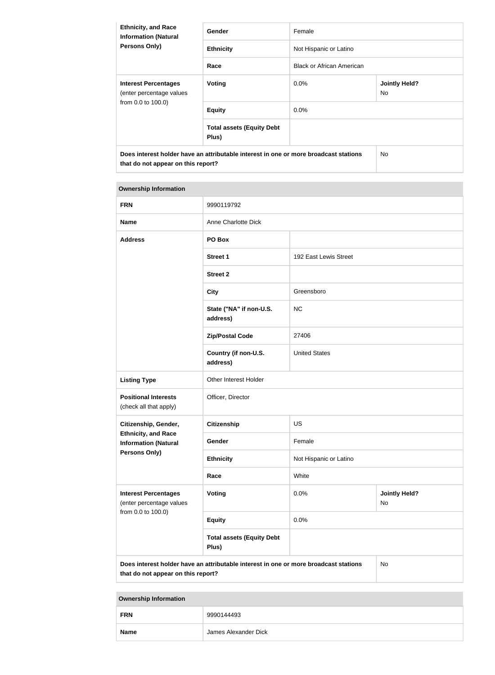| <b>Ethnicity, and Race</b><br><b>Information (Natural</b>                                                                  | Gender                                    | Female                           |                             |
|----------------------------------------------------------------------------------------------------------------------------|-------------------------------------------|----------------------------------|-----------------------------|
| <b>Persons Only)</b>                                                                                                       | <b>Ethnicity</b>                          | Not Hispanic or Latino           |                             |
|                                                                                                                            | Race                                      | <b>Black or African American</b> |                             |
| <b>Interest Percentages</b><br>(enter percentage values                                                                    | Voting                                    | $0.0\%$                          | <b>Jointly Held?</b><br>No. |
| from 0.0 to 100.0)                                                                                                         | <b>Equity</b>                             | $0.0\%$                          |                             |
|                                                                                                                            | <b>Total assets (Equity Debt</b><br>Plus) |                                  |                             |
| Does interest holder have an attributable interest in one or more broadcast stations<br>that do not appear on this report? |                                           |                                  | No.                         |

## **Ownership Information FRN** 9990119792 **Name** Anne Charlotte Dick **Address PO Box Street 1** 192 East Lewis Street **Street 2 City** Greensboro **State ("NA" if non-U.S. address)** NC **Zip/Postal Code** 27406 **Country (if non-U.S. address)** United States **Listing Type Other Interest Holder Positional Interests** (check all that apply) Officer, Director **Citizenship, Gender, Ethnicity, and Race Information (Natural Persons Only) Citizenship** US **Gender** Female **Ethnicity** Not Hispanic or Latino **Race** White **Interest Percentages** (enter percentage values from 0.0 to 100.0) **Voting Voting Jointly Held?** No **Equity** 0.0% **Total assets (Equity Debt Plus) Does interest holder have an attributable interest in one or more broadcast stations that do not appear on this report?** No

| <b>FRN</b>  | 9990144493           |
|-------------|----------------------|
| <b>Name</b> | James Alexander Dick |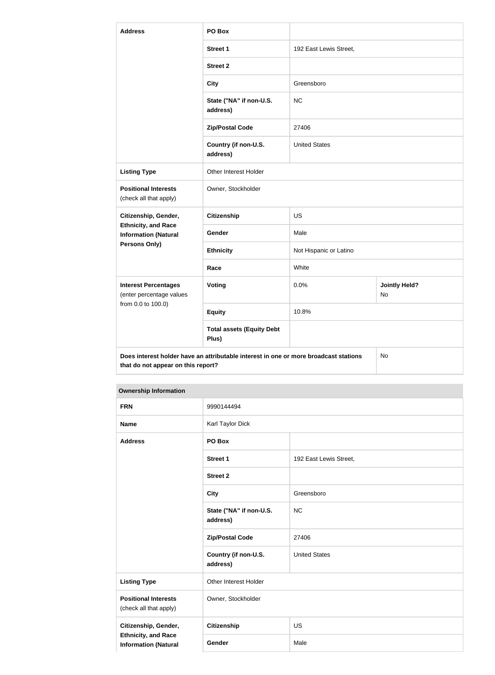| <b>Address</b>                                                      | PO Box                                                                               |                      |                            |  |  |
|---------------------------------------------------------------------|--------------------------------------------------------------------------------------|----------------------|----------------------------|--|--|
|                                                                     | <b>Street 1</b><br>192 East Lewis Street,                                            |                      |                            |  |  |
|                                                                     | <b>Street 2</b>                                                                      |                      |                            |  |  |
|                                                                     | <b>City</b>                                                                          | Greensboro           |                            |  |  |
|                                                                     | State ("NA" if non-U.S.<br>address)                                                  | <b>NC</b>            |                            |  |  |
|                                                                     | <b>Zip/Postal Code</b>                                                               | 27406                |                            |  |  |
|                                                                     | Country (if non-U.S.<br>address)                                                     | <b>United States</b> |                            |  |  |
| <b>Listing Type</b>                                                 | Other Interest Holder                                                                |                      |                            |  |  |
| <b>Positional Interests</b><br>(check all that apply)               | Owner, Stockholder                                                                   |                      |                            |  |  |
| Citizenship, Gender,                                                | <b>Citizenship</b>                                                                   | <b>US</b>            |                            |  |  |
| <b>Ethnicity, and Race</b><br>Gender<br><b>Information (Natural</b> |                                                                                      | Male                 |                            |  |  |
| Persons Only)                                                       | <b>Ethnicity</b>                                                                     |                      | Not Hispanic or Latino     |  |  |
|                                                                     | Race                                                                                 | White                |                            |  |  |
| <b>Interest Percentages</b><br>(enter percentage values             | <b>Voting</b>                                                                        | 0.0%                 | <b>Jointly Held?</b><br>No |  |  |
| from 0.0 to 100.0)                                                  | <b>Equity</b>                                                                        | 10.8%                |                            |  |  |
|                                                                     | <b>Total assets (Equity Debt</b><br>Plus)                                            |                      |                            |  |  |
| that do not appear on this report?                                  | Does interest holder have an attributable interest in one or more broadcast stations |                      | No                         |  |  |

| <b>FRN</b>                                                | 9990144494                          |                        |
|-----------------------------------------------------------|-------------------------------------|------------------------|
| <b>Name</b>                                               | Karl Taylor Dick                    |                        |
| <b>Address</b>                                            | PO Box                              |                        |
|                                                           | <b>Street 1</b>                     | 192 East Lewis Street, |
|                                                           | <b>Street 2</b>                     |                        |
|                                                           | <b>City</b>                         | Greensboro             |
|                                                           | State ("NA" if non-U.S.<br>address) | NC                     |
|                                                           | <b>Zip/Postal Code</b>              | 27406                  |
|                                                           | Country (if non-U.S.<br>address)    | <b>United States</b>   |
| <b>Listing Type</b>                                       | Other Interest Holder               |                        |
| <b>Positional Interests</b><br>(check all that apply)     | Owner, Stockholder                  |                        |
| Citizenship, Gender,                                      | Citizenship                         | <b>US</b>              |
| <b>Ethnicity, and Race</b><br><b>Information (Natural</b> | Gender                              | Male                   |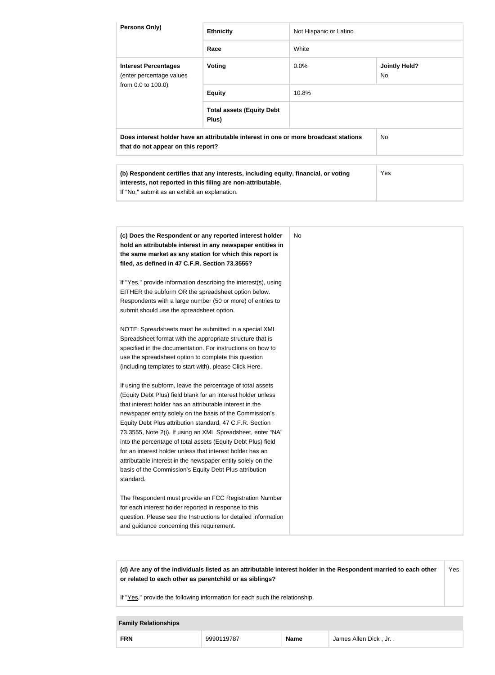| Persons Only)                                                                                                                                                                                                                                                                                                                                                                                                                                                                                                                                                                                                                                                                                                                | <b>Ethnicity</b>                                                                                                                                                                                                                                                                                                                                                                                                                                                                                                                                                                                                                                                                                    | Not Hispanic or Latino |                                   |
|------------------------------------------------------------------------------------------------------------------------------------------------------------------------------------------------------------------------------------------------------------------------------------------------------------------------------------------------------------------------------------------------------------------------------------------------------------------------------------------------------------------------------------------------------------------------------------------------------------------------------------------------------------------------------------------------------------------------------|-----------------------------------------------------------------------------------------------------------------------------------------------------------------------------------------------------------------------------------------------------------------------------------------------------------------------------------------------------------------------------------------------------------------------------------------------------------------------------------------------------------------------------------------------------------------------------------------------------------------------------------------------------------------------------------------------------|------------------------|-----------------------------------|
|                                                                                                                                                                                                                                                                                                                                                                                                                                                                                                                                                                                                                                                                                                                              | Race                                                                                                                                                                                                                                                                                                                                                                                                                                                                                                                                                                                                                                                                                                | White                  |                                   |
| <b>Interest Percentages</b><br>(enter percentage values                                                                                                                                                                                                                                                                                                                                                                                                                                                                                                                                                                                                                                                                      | <b>Voting</b>                                                                                                                                                                                                                                                                                                                                                                                                                                                                                                                                                                                                                                                                                       | 0.0%                   | <b>Jointly Held?</b><br><b>No</b> |
| from 0.0 to 100.0)                                                                                                                                                                                                                                                                                                                                                                                                                                                                                                                                                                                                                                                                                                           | <b>Equity</b>                                                                                                                                                                                                                                                                                                                                                                                                                                                                                                                                                                                                                                                                                       | 10.8%                  |                                   |
|                                                                                                                                                                                                                                                                                                                                                                                                                                                                                                                                                                                                                                                                                                                              | <b>Total assets (Equity Debt</b><br>Plus)                                                                                                                                                                                                                                                                                                                                                                                                                                                                                                                                                                                                                                                           |                        |                                   |
| that do not appear on this report?                                                                                                                                                                                                                                                                                                                                                                                                                                                                                                                                                                                                                                                                                           | Does interest holder have an attributable interest in one or more broadcast stations                                                                                                                                                                                                                                                                                                                                                                                                                                                                                                                                                                                                                |                        | No                                |
| If "No," submit as an exhibit an explanation.                                                                                                                                                                                                                                                                                                                                                                                                                                                                                                                                                                                                                                                                                | (b) Respondent certifies that any interests, including equity, financial, or voting<br>interests, not reported in this filing are non-attributable.                                                                                                                                                                                                                                                                                                                                                                                                                                                                                                                                                 |                        | Yes                               |
| filed, as defined in 47 C.F.R. Section 73.3555?<br>EITHER the subform OR the spreadsheet option below.<br>submit should use the spreadsheet option.<br>Spreadsheet format with the appropriate structure that is<br>use the spreadsheet option to complete this question<br>(including templates to start with), please Click Here.<br>If using the subform, leave the percentage of total assets<br>that interest holder has an attributable interest in the<br>Equity Debt Plus attribution standard, 47 C.F.R. Section<br>for an interest holder unless that interest holder has an<br>attributable interest in the newspaper entity solely on the<br>basis of the Commission's Equity Debt Plus attribution<br>standard. | (c) Does the Respondent or any reported interest holder<br>hold an attributable interest in any newspaper entities in<br>the same market as any station for which this report is<br>If "Yes," provide information describing the interest(s), using<br>Respondents with a large number (50 or more) of entries to<br>NOTE: Spreadsheets must be submitted in a special XML<br>specified in the documentation. For instructions on how to<br>(Equity Debt Plus) field blank for an interest holder unless<br>newspaper entity solely on the basis of the Commission's<br>73.3555, Note 2(i). If using an XML Spreadsheet, enter "NA"<br>into the percentage of total assets (Equity Debt Plus) field | <b>No</b>              |                                   |
| for each interest holder reported in response to this<br>and guidance concerning this requirement.                                                                                                                                                                                                                                                                                                                                                                                                                                                                                                                                                                                                                           | The Respondent must provide an FCC Registration Number<br>question. Please see the Instructions for detailed information                                                                                                                                                                                                                                                                                                                                                                                                                                                                                                                                                                            |                        |                                   |

**(d) Are any of the individuals listed as an attributable interest holder in the Respondent married to each other or related to each other as parentchild or as siblings?** Yes

If "Yes," provide the following information for each such the relationship.

#### **Family Relationships**

|  | <b>FRN</b> | 0707 |  | <b>Dick</b><br>Allen<br>Jr. .<br>nes. |
|--|------------|------|--|---------------------------------------|
|--|------------|------|--|---------------------------------------|